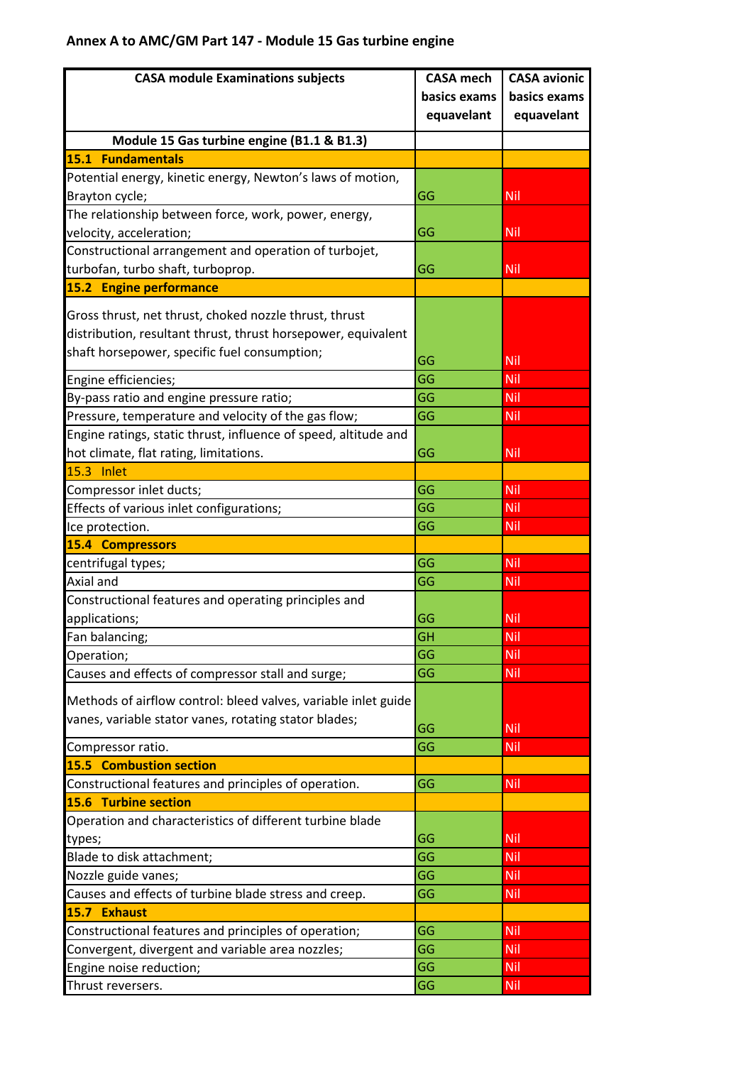## **Annex A to AMC/GM Part 147 - Module 15 Gas turbine engine**

| <b>CASA module Examinations subjects</b>                        | <b>CASA</b> mech | <b>CASA avionic</b> |
|-----------------------------------------------------------------|------------------|---------------------|
|                                                                 | basics exams     | basics exams        |
|                                                                 | equavelant       | equavelant          |
| Module 15 Gas turbine engine (B1.1 & B1.3)                      |                  |                     |
| <b>15.1 Fundamentals</b>                                        |                  |                     |
| Potential energy, kinetic energy, Newton's laws of motion,      |                  |                     |
| Brayton cycle;                                                  | GG               | Nil                 |
| The relationship between force, work, power, energy,            |                  |                     |
| velocity, acceleration;                                         | GG               | Nil                 |
| Constructional arrangement and operation of turbojet,           |                  |                     |
| turbofan, turbo shaft, turboprop.                               | GG               | Nil                 |
| 15.2 Engine performance                                         |                  |                     |
|                                                                 |                  |                     |
| Gross thrust, net thrust, choked nozzle thrust, thrust          |                  |                     |
| distribution, resultant thrust, thrust horsepower, equivalent   |                  |                     |
| shaft horsepower, specific fuel consumption;                    | GG               | Nil                 |
| Engine efficiencies;                                            | GG               | Nil                 |
| By-pass ratio and engine pressure ratio;                        | GG               | Nil                 |
| Pressure, temperature and velocity of the gas flow;             | GG               | Nil                 |
| Engine ratings, static thrust, influence of speed, altitude and |                  |                     |
| hot climate, flat rating, limitations.                          | GG               | <b>Nil</b>          |
| 15.3 Inlet                                                      |                  |                     |
| Compressor inlet ducts;                                         | GG               | Nil                 |
| Effects of various inlet configurations;                        | GG               | Nil                 |
| Ice protection.                                                 | GG               | Nil                 |
| <b>15.4 Compressors</b>                                         |                  |                     |
| centrifugal types;                                              | GG               | Nil                 |
| Axial and                                                       | GG               | Nil                 |
| Constructional features and operating principles and            |                  |                     |
| applications;                                                   | GG               | Nil                 |
| Fan balancing;                                                  | GH               | Nil                 |
| Operation;                                                      | GG               | Nil                 |
| Causes and effects of compressor stall and surge;               | GG               | Nil                 |
| Methods of airflow control: bleed valves, variable inlet guide  |                  |                     |
| vanes, variable stator vanes, rotating stator blades;           |                  |                     |
|                                                                 | GG               | Nil                 |
| Compressor ratio.                                               | GG               | Nil                 |
| <b>15.5 Combustion section</b>                                  |                  |                     |
| Constructional features and principles of operation.            | GG               | <b>Nil</b>          |
| <b>15.6 Turbine section</b>                                     |                  |                     |
| Operation and characteristics of different turbine blade        |                  |                     |
| types;                                                          | GG               | <b>Nil</b>          |
| Blade to disk attachment;                                       | GG               | Nil                 |
| Nozzle guide vanes;                                             | GG               | Nil                 |
| Causes and effects of turbine blade stress and creep.           | GG               | Nil                 |
| 15.7 Exhaust                                                    |                  |                     |
| Constructional features and principles of operation;            | GG<br>GG         | <b>Nil</b>          |
| Convergent, divergent and variable area nozzles;                |                  | Nil                 |
| Engine noise reduction;                                         | GG<br>GG         | Nil                 |
| Thrust reversers.                                               |                  | Nil                 |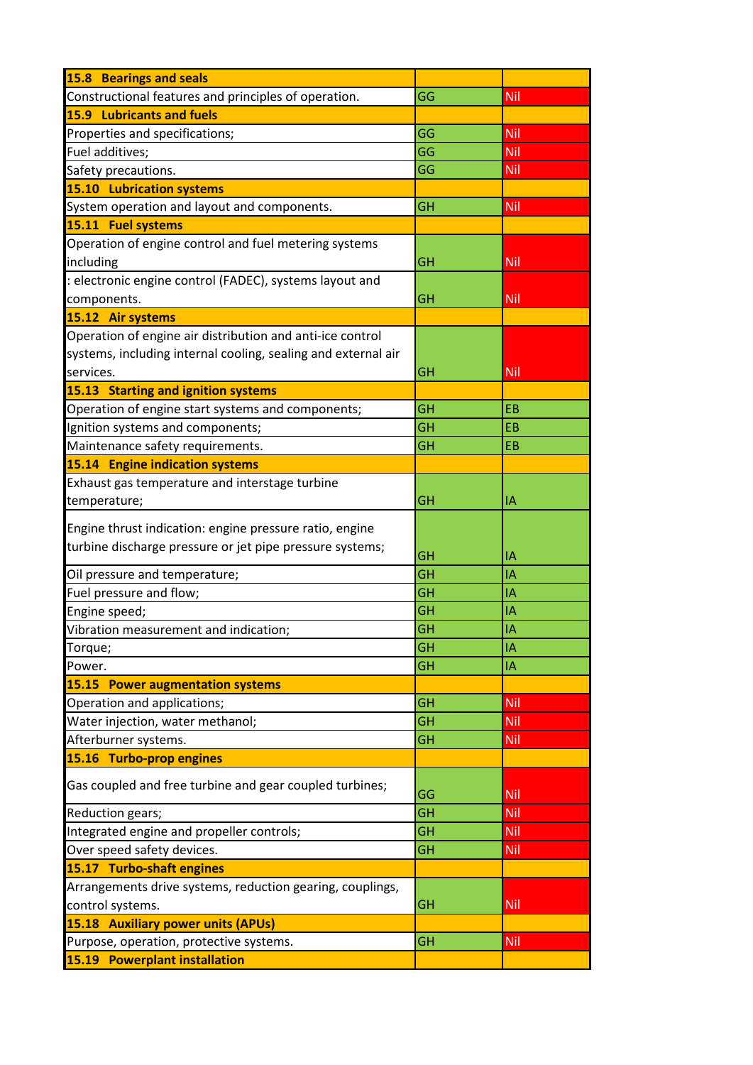| 15.8 Bearings and seals                                       |           |            |
|---------------------------------------------------------------|-----------|------------|
| Constructional features and principles of operation.          | GG        | Nil        |
| <b>15.9 Lubricants and fuels</b>                              |           |            |
| Properties and specifications;                                | GG        | Nil        |
| Fuel additives;                                               | GG        | Nil        |
| Safety precautions.                                           | GG        | <b>Nil</b> |
| <b>15.10 Lubrication systems</b>                              |           |            |
| System operation and layout and components.                   | GH        | <b>Nil</b> |
| 15.11 Fuel systems                                            |           |            |
| Operation of engine control and fuel metering systems         |           |            |
| including                                                     | GH        | <b>Nil</b> |
| : electronic engine control (FADEC), systems layout and       |           |            |
| components.                                                   | GH        | <b>Nil</b> |
| 15.12 Air systems                                             |           |            |
| Operation of engine air distribution and anti-ice control     |           |            |
| systems, including internal cooling, sealing and external air |           |            |
| services.                                                     | GH        | <b>Nil</b> |
| 15.13 Starting and ignition systems                           |           |            |
| Operation of engine start systems and components;             | <b>GH</b> | <b>EB</b>  |
| Ignition systems and components;                              | <b>GH</b> | <b>EB</b>  |
| Maintenance safety requirements.                              | <b>GH</b> | <b>EB</b>  |
| <b>15.14 Engine indication systems</b>                        |           |            |
| Exhaust gas temperature and interstage turbine                |           |            |
| temperature;                                                  | GH        | I٨         |
|                                                               |           |            |
| Engine thrust indication: engine pressure ratio, engine       |           |            |
| turbine discharge pressure or jet pipe pressure systems;      | <b>GH</b> | IA         |
| Oil pressure and temperature;                                 | GH        | IA         |
| Fuel pressure and flow;                                       | GH        | IA         |
| Engine speed;                                                 | GH        | IA         |
| Vibration measurement and indication;                         | <b>GH</b> | IA         |
| Torque;                                                       | GH        | IA         |
| Power.                                                        | <b>GH</b> | IA         |
| 15.15 Power augmentation systems                              |           |            |
| Operation and applications;                                   | <b>GH</b> | <b>Nil</b> |
| Water injection, water methanol;                              | GH        | Nil        |
| Afterburner systems.                                          | <b>GH</b> | Nil        |
| 15.16 Turbo-prop engines                                      |           |            |
|                                                               |           |            |
| Gas coupled and free turbine and gear coupled turbines;       | GG        | <b>Nil</b> |
| Reduction gears;                                              | GH        | <b>Nil</b> |
| Integrated engine and propeller controls;                     | <b>GH</b> | <b>Nil</b> |
| Over speed safety devices.                                    | <b>GH</b> |            |
| 15.17 Turbo-shaft engines                                     |           | Nil        |
|                                                               |           |            |
| Arrangements drive systems, reduction gearing, couplings,     |           |            |
| control systems.                                              | GH        | Nil        |
| <b>15.18 Auxiliary power units (APUs)</b>                     |           |            |
| Purpose, operation, protective systems.                       | <b>GH</b> | <b>Nil</b> |
| 15.19 Powerplant installation                                 |           |            |